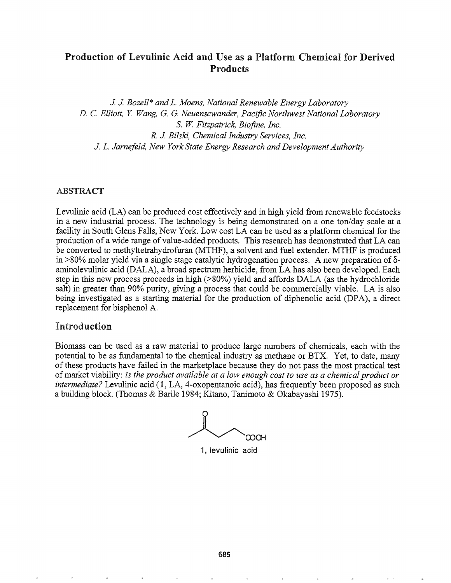# Production of Levulinic Acid and Use as a Platform Chemical for Derived Products

J J *Bozell\* and L. Moens, National Renewable Energy Laboratory D.* C. *Elliott, Y Wang,* G. G. *Neuenscwander, Pacific Northwest National Laboratory* S. W *Fitzpatrick, Biofine, Inc. R.* J. *Bilski, Chemical Industry Services, Inc.* J. L. *Jarnefeld, New York State Energy Research and DevelopmentAuthority*

## ABSTRACT

Levulinic acid (LA) can be produced cost effectively and in high yield from renewable feedstocks in a new industrial process. The technology is being demonstrated on a one ton/day scale at a facility in South Glens Falls, New York. Low cost LA can be used as a platform chemical for the production of a wide range of value-added products. This research has demonstrated that LA can be converted to methyltetrahydrofuran (MTHF), a solvent and fuel extender. MTHF is produced in  $>80\%$  molar yield via a single stage catalytic hydrogenation process. A new preparation of  $\delta$ aminolevulinic acid (DALA), a broad spectrum herbicide, from LA has also been developed. Each step in this new process proceeds in high (>80%) yield and affords DALA (as the hydrochloride salt) in greater than 90% purity, giving a process that could be commercially viable. LA is also being investigated as a starting material for the production of diphenolic acid (DPA), a direct replacement for bisphenol A.

## Introduction

Biomass can be used as a raw material to produce large numbers of chemicals, each with the potential to be as fundamental to the chemical industry as methane or BTX. Yet, to date, many of these products have failed in the marketplace because they do not pass the most practical test ofmarket viability: *is the product available at a low enough cost to use as a chemical product or intermediate?* Levulinic acid (1, LA, 4-oxopentanoic acid), has frequently been proposed as such a building block. (Thomas & Barile 1984; Kitano, Tanimoto & Okabayashi 1975).

roo;

1, levulinic acid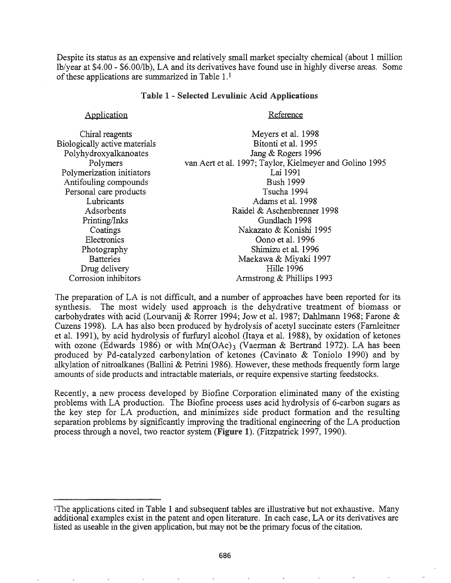Despite its status as an expensive and relatively small market specialty chemical (about 1 million lb/year at \$4.00 - \$6.00/lb), LA and its derivatives have found use in highly diverse areas. Some of these applications are summarized in Table  $1<sup>1</sup>$ 

## Table 1 - Selected Levulinic Acid Applications

## Application

## Reference

| Chiral reagents               | Meyers et al. 1998                                      |
|-------------------------------|---------------------------------------------------------|
| Biologically active materials | Bitonti et al. 1995                                     |
| Polyhydroxyalkanoates         | Jang & Rogers 1996                                      |
| Polymers                      | van Aert et al. 1997; Taylor, Kielmeyer and Golino 1995 |
| Polymerization initiators     | Lai 1991                                                |
| Antifouling compounds         | <b>Bush 1999</b>                                        |
| Personal care products        | Tsucha 1994                                             |
| Lubricants                    | Adams et al. 1998                                       |
| Adsorbents                    | Raidel & Aschenbrenner 1998                             |
| Printing/Inks                 | Gundlach 1998                                           |
| Coatings                      | Nakazato & Konishi 1995                                 |
| Electronics                   | Oono et al. 1996                                        |
| Photography                   | Shimizu et al. 1996                                     |
| <b>Batteries</b>              | Maekawa & Miyaki 1997                                   |
| Drug delivery                 | Hille 1996                                              |
| Corrosion inhibitors          | Armstrong & Phillips 1993                               |

The preparation of LA is not difficult, and a number of approaches have been reported for its synthesis. The most widely used approach is the dehydrative treatment of biomass or carbohydrates with acid (Lourvanij & Rorrer 1994; Jow et al. 1987; Dahlmann 1968; Farone & Cuzens 1998). LA has also been produced by hydrolysis of acetyl succinate esters (Farnleitner et al. 1991), by acid hydrolysis of furfuryl alcohol (Itaya et aL 1988), by oxidation of ketones with ozone (Edwards 1986) or with  $Mn(OAc)$ <sub>3</sub> (Vaerman & Bertrand 1972). LA has been produced by Pd-catalyzed carbonylation of ketones (Cavinato & Toniolo 1990) and by alkylation of nitroalkanes (Ballini & Petrini 1986). However, these methods frequently form large amounts of side products and intractable materials, or require expensive starting feedstocks.

Recently, a new process developed by Biofine Corporation eliminated many of the existing problems with LA production. The Biofine process uses acid hydrolysis of 6-carbon sugars as the key step for LA production, and minimizes side product formation and the resulting separation problems by significantly improving the traditional engineering of the LA production process through a novel, two reactor system (Figure 1). (Fitzpatrick 1997, 1990).

<sup>&</sup>lt;sup>1</sup>The applications cited in Table 1 and subsequent tables are illustrative but not exhaustive. Many additional examples exist in the patent and open literature. In each case, LA or its derivatives are listed as useable in the given application, but may not be the primary focus of the citation.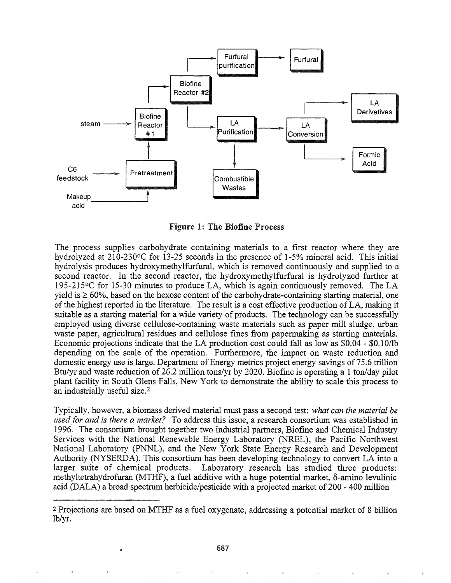

Figure 1: The Biofine Process

The process supplies carbohydrate containing materials to a first reactor where they are hydrolyzed at 210-230°C for 13-25 seconds in the presence of 1-5% mineral acid. This initial hydrolysis produces hydroxymethylfurfural, which is removed continuously and supplied to a second reactor. In the second reactor, the hydroxymethylfurfural is hydrolyzed further at 195-215°C for 15-30 minutes to produce LA, which is again continuously removed. The LA yield is  $\geq 60\%$ , based on the hexose content of the carbohydrate-containing starting material, one of the highest reported in the literature. The result is a cost effective production of LA, making it suitable as a starting material for a wide variety of products. The technology can be successfully employed using diverse cellulose-containing waste materials such as paper mill sludge, urban waste paper, agricultural residues and cellulose fines from papermaking as starting materials. Economic projections indicate that the LA production cost could fall as low as  $$0.04 - $0.10/lb$ depending on the scale of the operation. Furthermore, the impact on waste reduction and domestic energy use is large. Department of Energy metrics project energy savings of 75.6 trillion Btu/yr and waste reduction of 26.2 million tons/yr by 2020. Biofine is operating a 1 ton/day pilot plant facility in South Glens Falls, New York to demonstrate the ability to scale this process to an industrially useful size.2

Typically, however, a biomass derived material must pass a second test: *what can the material be usedfor and is there a market?* To address this issue, a research consortium was established in 1996. The consortium brought together two industrial partners, Biofine and Chemical Industry Services with the National Renewable Energy Laboratory (NREL), the Pacific Northwest National Laboratory (PNNL), and the New York State Energy Research and Development Authority (NYSERDA). This consortium has been developing technology to convert LA into a larger suite of chemical products. Laboratory research has studied three products: methyltetrahydrofuran (MTHF), a fuel additive with a huge potential market,  $\delta$ -amino levulinic acid (DALA) a broad spectrum herbicide/pesticide with a projected market of  $200 - 400$  million

<sup>2</sup> Projections are based on MTHF as a fuel oxygenate, addressing a potential market of 8 billion lb/yr.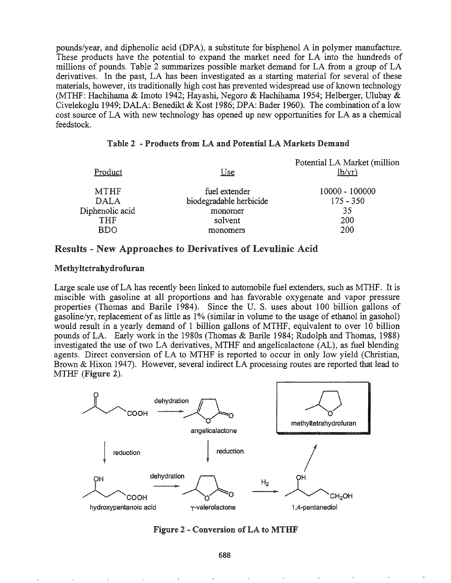pounds/year, and diphenolic acid (DPA), a substitute for bisphenol A in polymer manufacture. These products have the potential to expand the market need for LA into the hundreds of millions of pounds. Table 2 summarizes possible market demand for LA from a group of LA derivatives. In the past, LA has been investigated as a starting material for several of these materials, however, its traditionally high cost has prevented widespread use of known technology (MTHF: Hachihama & Imoto 1942; Hayashi, Negoro & Hachihama 1954; HeIberger, Ulubay & Civelekoglu 1949; DALA: Benedikt & Kost 1986; DPA: Bader 1960). The combination of a low cost source of LA with new technology has opened up new opportunities for LA as a chemical feedstock.

#### Potential LA Market (million Product Use  $lb/yr)$ MTHF fuel extender 10000 100000 DALA biodegradable herbicide  $175 - 350$ Diphenolic acid monomer 35 THF solvent 200 BDO monomers 200

## Table 2 - Products from LA and Potential LA Markets Demand

## Results - New Approaches to Derivatives of Levulinic Acid

## Methyltetrahydrofuran

Large scale use ofLA has recently been linked to automobile fuel extenders, such as MTHF. It is miscible with gasoline at all proportions and has favorable oxygenate and vapor pressure properties (Thomas and Barile 1984). Since the U. S. uses about 100 billion gallons of gasoline/yr, replacement of as little as 1% (similar in volume to the usage of ethanol in gasohol) would result in a yearly demand of 1 billion gallons of MTHF, equivalent to over 10 billion pounds of LA. Early work in the 1980s (Thomas & Barile 1984; Rudolph and Thomas, 1988) investigated the use of two LA derivatives, MTHF and angelicalactone (AL), as fuel blending agents. Direct conversion of LA to MTHF is reported to occur in only low yield (Christian, Brown & Hixon 1947). However, several indirect LA processing routes are reported that lead to MTHF (Figure 2).



## Figure 2 - Conversion ofLA to MTHF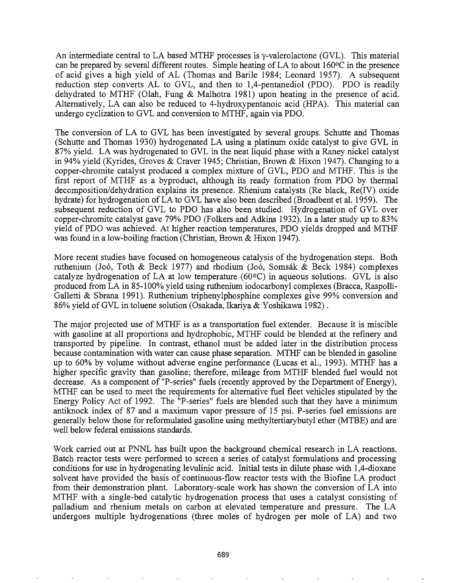An intermediate central to LA based MTHF processes is  $\gamma$ -valerolactone (GVL). This material can be prepared by several different routes. Simple heating of LA to about  $160\degree$ C in the presence of acid gives a high yield of AL (Thomas and Barile 1984; Leonard 1957). A subsequent reduction step converts AL to GVL, and then to  $1,4$ -pentanediol (PDO). PDO is readily dehydrated to MTHF (Olah, Fung & Malhotra 1981) upon heating in the presence of acid. Alternatively, LA can also be reduced to 4-hydroxypentanoic acid (HPA). This material can undergo cyclization to GVL and conversion to MTHF, again via PDO.

The conversion of LA to GVL has been investigated by several groups. Schutte and Thomas (Schutte and Thomas 1930) hydrogenated LA using a platinum oxide catalyst to give GVL in 87% yield. LA was hydrogenated to GVL in the neat liquid phase with a Raney nickel catalyst in 94% yield (Kyrides, Groves & Craver 1945; Christian, Brown & Hixon 1947). Changing to a copper-chromite catalyst produced a complex mixture of GVL, PDO and MTHF. This is the first report of MTHF as a byproduct, although its ready formation from PDO by thermal decomposition/dehydration explains its presence. Rhenium catalysts (Re black, Re(IV) oxide hydrate) for hydrogenation ofLA to GVL have also been described (Broadbent et al. 1959). The subsequent reduction of GVL to PDO has also been studied. Hydrogenation of GVL over copper-chromite catalyst gave 79% PDO (Folkers and Adkins 1932). In a later study up to 83% yield of PDO was achieved. At higher reaction temperatures, PDO yields dropped and MTHF was found in a low-boiling fraction (Christian, Brown & Hixon 1947).

More recent studies have focused on homogeneous catalysis of the hydrogenation steps. Both ruthenium (Joó, Toth & Beck 1977) and rhodium (Joó, Somsák & Beck 1984) complexes catalyze hydrogenation of LA at low temperature  $(60\degree C)$  in aqueous solutions. GVL is also produced from LA in 85-100% yield using ruthenium iodocarbonyl complexes (Bracca, Raspolli-Galletti & Sbrana 1991). Ruthenium triphenylphosphine complexes give 99% conversion and 86% yield of GVL in toluene solution (Osakada, Ikariya & Yoshikawa 1982) .

The major projected use of MTHF is as a transportation fuel extender. Because it is miscible with gasoline at all proportions and hydrophobic, MTHF could be blended at the refinery and transported by pipeline. In contrast, ethanol must be added later in the distribution process because contamination with water can cause phase separation. MTHF can be blended in gasoline up to 60% by volume without adverse engine performance (Lucas et al., 1993). MTHF has a higher specific gravity than gasoline; therefore, mileage from MTHF blended fuel would not decrease. As a component of "P-series" fuels (recently approved by the Department of Energy), MTHF can be used to meet the requirements for alternative fuel fleet vehicles stipulated by the Energy Policy Act of 1992. The "P-series" fuels are blended such that they have a minimum antiknock index of 87 and a maximum vapor pressure of 15 psi. P-series fuel emissions are generally below those for reformulated gasoline using methyltertiarybutyl ether (MTBE) and are well below federal emissions standards.

Work carried out at PNNL has built upon the background chemical research in LA reactions. Batch reactor tests were performed to screen a series of catalyst formulations and processing conditions for use in hydrogenating levulinic acid. Initial tests in dilute phase with 1,4-dioxane solvent have provided the basis of continuous-flow reactor tests with the Biofine LA product from their demonstration plant. Laboratory-scale work has shown the conversion of LA into MTHF with a single-bed catalytic hydrogenation process that uses a catalyst consisting of palladium and rhenium metals on carbon at elevated temperature and pressure. The LA undergoes multiple hydrogenations (three moles of hydrogen per mole of LA) and two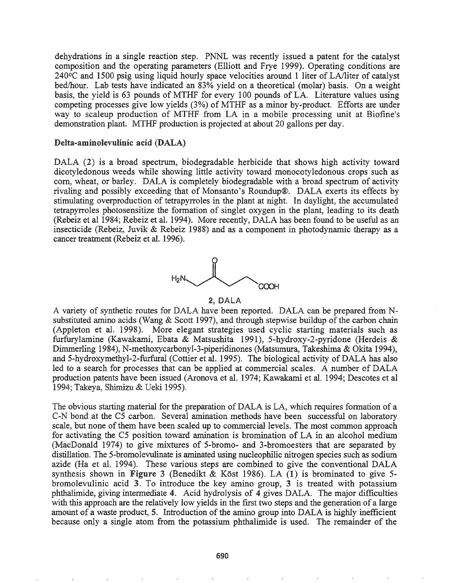dehydrations in a single reaction step. PNNL was recently issued a patent for the catalyst composition and the operating parameters (Elliott and Frye 1999). Operating conditions are 240°C and 1500 psig using liquid hourly space velocities around 1 liter of LA/liter of catalyst bed/hour. Lab tests have indicated an 83% yield on a theoretical (molar) basis. On a weight basis, the yield is 63 pounds of MTHF for every 100 pounds of LA. Literature values using competing processes give low yields (3%) of MTHF as a minor by-product. Efforts are under way to scaleup production of MTHF from LA in a mobile processing unit at Biofine's demonstration plant. MTHF production is projected at about 20 gallons per day.

## Delta-aminolevulinic acid (DALA)

DALA (2) is a broad spectrum, biodegradable herbicide that shows high activity toward dicotyledonous weeds while showing little activity toward monocotyledonous crops such as com, wheat, or barley. DALA is completely biodegradable with a broad spectrum of activity rivaling and possibly exceeding that of Monsanto's Roundup®. DALA exerts its effects by stimulating overproduction of tetrapyrroles in the plant at night. In daylight, the accumulated tetrapyrroles photosensitize the formation of singlet oxygen in the plant, leading to its death (Rebeiz et a11984; Rebeiz et aL 1994). More recently, DALA has been found to be useful as an insecticide (Rebeiz, Juvik & Rebeiz 1988) and as a component in photodynamic therapy as a cancer treatment (Rebeiz et al. 1996).



## 2, DALA

A variety of synthetic routes for DALA have been reported. DALA can be prepared from Nsubstituted amino acids (Wang  $&$  Scott 1997), and through stepwise buildup of the carbon chain (Appleton et aL 1998). More elegant strategies used cyclic starting materials such as furfurylamine (Kawakami, Ebata & Matsushita 1991), 5-hydroxy-2-pyridone (Herdeis & Dimmerling 1984), N-methoxycarbonyl-3-piperidinones (Matsumura, Takeshima & Okita 1994), and 5-hydroxymethyl-2-furfural (Cottier et al. 1995). The biological activity of DALA has also led to a search for processes that can be applied at commercial scales. A number of DALA production patents have been issued (Aronova et aL 1974; Kawakami et aL 1994; Descotes et al 1994; Takeya, Shimizu & Veki 1995)~

The obvious starting material for the preparation of DALA is LA, which requires formation of a C-N bond at the C5 carbon. Several amination methods have been successful on laboratory scale, but none of them have been scaled up to commercial levels. The most common approach for activating the C5 position toward amination is bromination of LA in an alcohol medium (MacDonald 1974) to give mixtures of 5-bromo- and 3-bromoesters that are separated by distillation. The 5-bromolevulinate is aminated using nucleophilic nitrogen species such as sodium azide (Ha et al. 1994). These various steps are combined to give the conventional DALA synthesis shown in Figure 3 (Benedikt & Köst 1986). LA  $(1)$  is brominated to give 5bromolevulinic acid  $3$ . To introduce the key amino group,  $3$  is treated with potassium phthalimide, giving intermediate 4. Acid hydrolysis of 4 gives DALA. The major difficulties with this approach are the relatively low yields in the first two steps and the generation of a large amount of a waste product, 5. Introduction of the amino group into DALA is highly inefficient because only a single atom from the potassium phthalimide is used. The remainder of the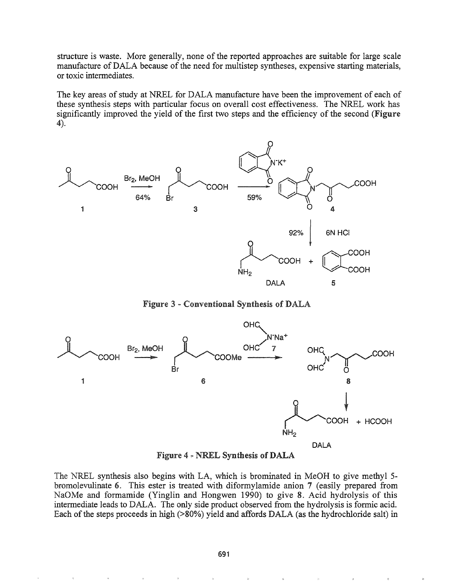structure is waste. More generally, none of the reported approaches are suitable for large scale manufacture of DALA because of the need for multistep syntheses, expensive starting materials, or toxic intermediates.

The key areas of study at NREL for DALA manufacture have been the improvement of each of these synthesis steps with particular focus on overall cost effectiveness. The NREL work has significantly improved the yield of the first two steps and the efficiency of the second (Figure 4).



Figure 3 - Conventional Synthesis of DALA



Figure 4 - NREL Synthesis of DALA

The NREL synthesis also begins with LA, which is brominated in MeOH to give methyl 5 bromolevulinate 6. This ester is treated with diformylamide anion 7 (easily prepared from NaOMe and formamide (Yinglin and Hongwen 1990) to give 8. Acid hydrolysis of this intermediate leads to DALA. The only side product observed from the hydrolysis is formic acid. Each of the steps proceeds in high (>80%) yield and affords DALA (as the hydrochloride salt) in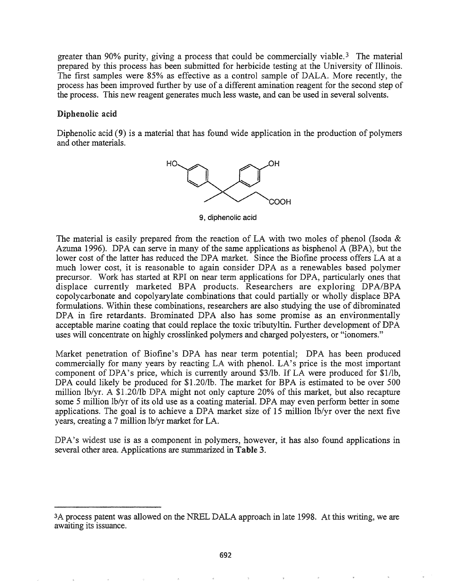greater than 90% purity, giving a process that could be commercially viable.<sup>3</sup> The material prepared by this process has been submitted for herbicide testing at the University of Illinois. The first samples were 85% as effective as a control sample of DALA. More recently, the process has been improved further by use of a different amination reagent for the second step of the process. This new reagent generates much less waste, and can be used in several solvents.

## Diphenolic acid

Diphenolic acid (9) is a material that has found wide application in the production of polymers and other materials.



9, diphenolic acid

The material is easily prepared from the reaction of LA with two moles of phenol (Isoda & Azuma 1996). DPA can serve in many of the same applications as bisphenol A (BPA), but the lower cost of the latter has reduced the DPA market. Since the Biofine process offers LA at a much lower cost, it is reasonable to again consider DPA as a renewables based polymer precursor. Work has started at RPI on near term applications for DPA, particularly ones that displace currently marketed BPA products. Researchers are exploring DPA/BPA copolycarbonate and copolyarylate combinations that could partially or wholly displace BPA formulations. Within these combinations, researchers are also studying the use of dibrominated DPA in fire retardants. Brominated DPA also has some promise as an environmentally acceptable marine coating that could replace the toxic tributyltin. Further development of DPA uses will concentrate on highly crosslinked polymers and charged polyesters, or "ionomers."

Market penetration of Biofine's DPA has near term potential; DPA has been produced commercially for many years by reacting LA with phenol. LA's price is the most important component of DPA's price, which is currently around \$3/lb. If LA were produced for \$l/lb, DPA could likely be produced for \$1.20/lb. The market for BPA is estimated to be over 500 million lb/yr. A \$1.20/lb DPA might not only capture 20% of this market, but also recapture some 5 million lb/yr of its old use as a coating material. DPA may even perform better in some applications. The goal is to achieve a DPA market size of 15 million lb/yr over the next five years, creating a 7 million lb/yr market for LA0

DPA's widest use is as a component in polymers, however, it has also found applications in several other area. Applications are summarized in Table 3.

<sup>3</sup>A process patent was allowed on the NREL DALA approach in late 1998. At this writing, we are awaiting its issuance.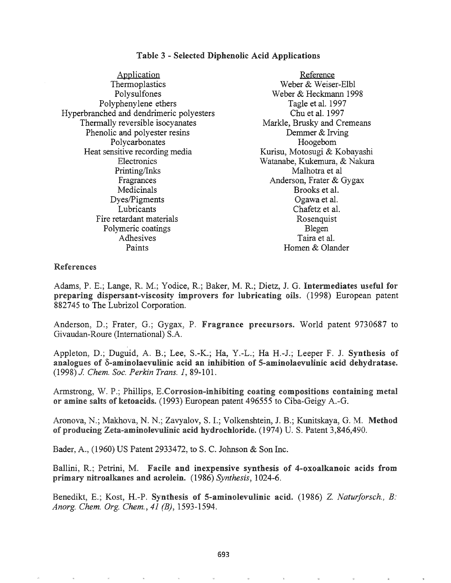#### Table 3 - Selected Diphenolic Acid Applications

| Application                              | Reference                    |
|------------------------------------------|------------------------------|
| Thermoplastics                           | Weber & Weiser-Elbl          |
| Polysulfones                             | Weber & Heckmann 1998        |
| Polyphenylene ethers                     | Tagle et al. 1997            |
| Hyperbranched and dendrimeric polyesters | Chu et al. 1997              |
| Thermally reversible isocyanates         | Markle, Brusky and Cremeans  |
| Phenolic and polyester resins            | Demmer & Irving              |
| Polycarbonates                           | Hoogebom                     |
| Heat sensitive recording media           | Kurisu, Motosugi & Kobayashi |
| Electronics                              | Watanabe, Kukemura, & Nakura |
| Printing/Inks                            | Malhotra et al               |
| Fragrances                               | Anderson, Frater & Gygax     |
| Medicinals                               | Brooks et al.                |
| Dyes/Pigments                            | Ogawa et al.                 |
| Lubricants                               | Chafetz et al.               |
| Fire retardant materials                 | Rosenquist                   |
| Polymeric coatings                       | Blegen                       |
| Adhesives                                | Taira et al.                 |
| Paints                                   | Homen & Olander              |

## References

Adams, P. E.; Lange, R. M.; Yodice, R.; Baker, M. R.; Dietz, J. G. Intermediates useful for preparing dispersant-viscosity improvers for lubricating oils. (1998) European patent 882745 to The Lubrizol Corporation.

Anderson, D.; Frater, G.; Gygax, P. Fragrance precursors. World patent 9730687 to Givaudan-Roure (International) S.A.

Appleton, D.; Duguid, A. B.; Lee, S.-K.; Ha, Y.-L.; Ha H.-J.; Leeper F. J. Synthesis of analogues of  $\delta$ -aminolaevulinic acid an inhibition of 5-aminolaevulinic acid dehydratase. *(1998)J Chern. Soc. Perkin Trans.* 1,89-101 .

Armstrong, W. P.; Phillips, E.Corrosion-inhibiting coating compositions containing metal or amine salts of ketoacids. (1993) European patent 496555 to Ciba-Geigy A.-G.

Aronova, N.; Makhova, N. N.; Zavyalov, S. I.; Volkenshtein, J. B.; Kunitskaya, G. M. Method of producing Zeta-aminolevulinic acid hydrochloride. (1974) U. S. Patent 3,846,490.

Bader, A., (1960) US Patent 2933472, to S. C. Johnson & Son Inc.

Ballini, R.; Petrini, M. Facile and inexpensive synthesis of 4-oxoalkanoic acids from primary nitroalkanes and acrolein. (1986) Synthesis, 1024-6.

Benedikt, E.; Kost, H.-P. Synthesis of 5-aminolevulinic acid. (1986) Z. Naturforsch., B: *Anorg. Chern. Org. Chern.,* 41 *(B), 1593... 1594.*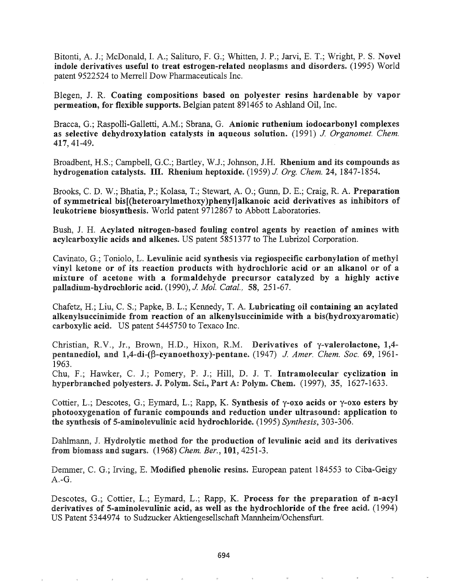Bitonti, A. J.; McDonald, I. A.; Salituro, F. G.; Whitten, J. P.; Jarvi, E. T.; Wright, P. S. Novel indole derivatives useful to treat estrogen-related neoplasms and disorders. (1995) World patent 9522524 to Merrell Dow Pharmaceuticals Inc.

Blegen, J. R. Coating compositions based on polyester resins hardenable by vapor permeation, for flexible supports. Belgian patent 891465 to Ashland Oil, Inc.

Bracca, G.; Raspolli-Galletti, A.M.; Sbrana, G. Anionic ruthenium iodocarbonyl complexes as selective dehydroxylation catalysts in aqueous solution. (1991) J. Organomet. Chem. 417, 41-49.

Broadbent, H.S.; Campbell, G.C.; Bartley, W.J.; Johnson, J.H. Rhenium and its compounds as hydrogenation catalysts. III. Rhenium heptoxide. (1959) *J. Org. Chem.* 24, 1847-1854.

Brooks, C. D. W.; Bhatia, P.; Kolasa, T.; Stewart, A. 0.; Gunn, D. E.; Craig, R. A. Preparation of symmetrical bis[(heteroarylmethoxy)phenyl]alkanoic acid derivatives as inhibitors of leukotriene biosynthesis. World patent 9712867 to Abbott Laboratories.

Bush, J. H. Acylated nitrogen-based fouling control agents by reaction of amines with acylcarboxylic acids and alkenes. US patent 5851377 to The Lubrizol Corporation.

Cavinato, G.; Toniolo, L. Levulinic acid synthesis via regiospecific carbonylation of methyl vinyl ketone or of its reaction products with hydrochloric acid or an alkanol or of a mixture of acetone with a formaldehyde precursor catalyzed by a highly active palladium-hydrochloric acide (1990), J. *Mol. Catal.,* 58, 251-67.

Chafetz, H.; Liu, C. S.; Papke, B. L.; Kennedy, T. A. Lubricating oil containing an acylatcd alkenylsuccinimide from reaction of an alkenylsuccinimide with a bis(hydroxyaromatic) carboxylic acid~ US patent 5445750 to Texaco Inc.

Christian, R.V., Jr., Brown, H.D., Hixon, R.M. Derivatives of y-valerolactone, 1,4 pentanediol, and 1,4-di-(β-cyanoethoxy)-pentane. (1947) J. Amer. Chem. Soc. 69, 1961-1963.

Chu, F.; Hawker, C. J.; Pomery, P. J.; Hill, D. J. T. Intramolecular cyclization in hyperbranched polyesters. J. Polym. Sci., Part A: Polym. Chem. (1997), 35, 1627-1633.

Cottier, L.; Descotes, G.; Eymard, L.; Rapp, K. Synthesis of  $\gamma$ -oxo acids or  $\gamma$ -oxo esters by photooxygenation of furanic compounds and reduction under ultrasound: application to the synthesis of 5-aminolevulinic acid hydrochloride. (1995) *Synthesis*, 303-306.

Dahlmann, J. Hydrolytic method for the production of levulinic acid and its derivatives biomass and sugarse (1968) *Chern. Ber.,* 101, 4251-3.

Demmer, C. G.; Irving, E. Modified phenolic resins. European patent 184553 to Ciba-Geigy A.-G.

Descotes, G.; Cottier, L.; Eymard, L.; Rapp, K. Process for the preparation of n-acyl derivatives of 5-aminolevulinic acid, as well as the hydrochloride of the free acid.  $(1994)$ US Patent 5344974 to Sudzucker Aktiengesellschaft Mannheim/Ochensfurt.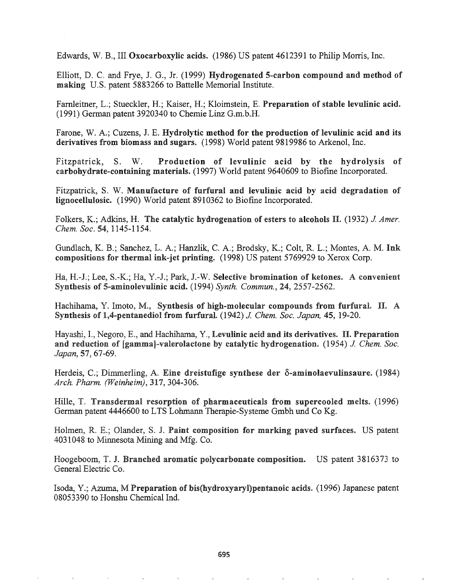Edwards, W. B., III Oxocarboxylic acids. (1986) US patent 4612391 to Philip Morris, Inc.

Elliott, D. C. and Frye, J. G., Jr. (1999) Hydrogenated 5-carbon compound and method of making U.S. patent 5883266 to Battelle Memorial Institute.

Farnleitner, L.; Stueckler, H.; Kaiser, H.; Kloimstein, E. Preparation of stable levulinic acid. (1991) German patent 3920340 to Chemie Linz G.m.b.H.

Farone, W. A.; Cuzens, J. E. Hydrolytic method for the production of levulinic acid and its derivatives from biomass and sugars. (1998) World patent 9819986 to Arkenol, Inc.

Fitzpatrick, S. W. Production of levulinic acid by the hydrolysis of carbohydrate-containing materials. (1997) World patent 9640609 to Biofine Incorporated.

Fitzpatrick, S. W. Manufacture of furfural and levulinic acid by acid degradation of lignocellulosic. (1990) World patent 8910362 to Biofine Incorporated.

Folkers, K.; Adkins, H. The catalytic hydrogenation of esters to alcohols II. (1932) J *Amer. Chern. Soc.* 54, 1145-1154.

Gundlach, K. B.; Sanchez, L. A.; Hanzlik, C. A.; Brodsky, K.; Colt, R. L.; Montes, A. M. Ink compositions for thermal ink-jet printing.  $(1998)$  US patent 5769929 to Xerox Corp.

Ha, H.-J.; Lee, S.-K.; Ha, Y.-J.; Park, J.-W. Selective bromination of ketones. A convenient Synthesis of 5-aminolevulinic acid. (1994) Synth. Commun., 24, 2557-2562.

Hachihama, Y. Imoto, M., Synthesis of high-molecular compounds from furfural. II. A Synthesis of 1,4-pentanediol from furfurat (1942) J. *Chern. Soc. Japan,* 45, 19-20.

Hayashi, I., Negoro, E., and Hachihama, Y., Levulinic acid and its derivatives. II. Preparation and reduction of [gamma]-valerolactone by catalytic hydrogenation. (1954) *J. Chem. Soc. Japan,* 57, 67-69.

Herdeis, C.; Dimmerling, A. Eine dreistufige synthese der  $\delta$ -aminolaevulinsaure. (1984) *Arch. Pharm. (Weinheim),* 317, 304-306.

Hille, T. Transdermal resorption of pharmaceuticals from supercooled melts. (1996) German patent 4446600 to LTS Lohmann Therapie-Systeme Gmbh und Co Kg.

Holmen, R. E.; Olander, S. J. Paint composition for marking paved surfaces. US patent 4031048 to Minnesota Mining and Mfg. Co.

Hoogeboom, T. J. Branched aromatic polycarbonate composition. US patent 3816373 to General Electric Co.

Isoda, Y.; Azuma, M Preparation of bis(hydroxyaryl)pentanoic acids. (1996) Japanese patent 08053390 to Honshu Chemical Ind.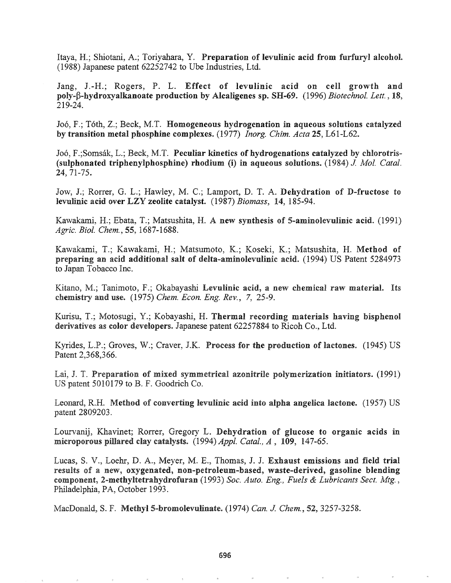Itaya, H.; Shiotani, A.; Toriyahara, Y. Preparation of levulinic acid from furfuryl alcohol. (1988) Japanese patent 62252742 to Ube Industries, Ltd.

Jang, J.-H.; Rogers, P. L. Effect of levulinic acid on cell growth and poly-β-hydroxyalkanoate production by Alcaligenes sp. SH-69. (1996) *Biotechnol. Lett.*, 18, 219-24.

J06, F.; Toth, Z.; Beck, M.T. Homogeneous hydrogenation in aqueous solutions catalyzed by transition metal phosphine complexes. (1977) *Inorg. Chim. Acta* 25, L61-L62.

Joó, F.;Somsák, L.; Beck, M.T. Peculiar kinetics of hydrogenations catalyzed by chlorotris-(sulphonated triphenylphosphine) rhodium (i) in aqueous solutions. (1984) J. Mol. Catal.  $24, 71-75$ .

Jow, J.; Rorrer, G. L.; Hawley, M. C.; Lamport, D. T. A. Dehydration of D-fructose to levulinic acid over LZY zeolite catalyst. (1987) *Biomass*, 14, 185-94.

Kawakami, H.; Ebata, T.; Matsushita, H. A new synthesis of 5-aminolevulinic acid. (1991) *Agric. BioI. Chern.,* 55, 1687-1688.

Kawakami, T.; Kawakami, H.; Matsumoto, K.; Koseki, K.; Matsushita, H. Method of preparing an acid additional salt of delta-aminolevulinic acid. (1994) US Patent 5284973 to Japan Tobacco Inc.

Kitano, M.; Tanimoto, F.; Okabayashi Levulinic acid, a new chemical raw material. Its chemistry and use0 (1975) *Chern. Econ. Eng. Rev.,* 7, 25-9.

Kurisu, T.; Motosugi, Y.; Kobayashi, H. Thermal recording materials having bisphenol derivatives as color developers. Japanese patent 62257884 to Ricoh Co., Ltd.

Kyrides, L.P.; Groves, W.; Craver, J.K. Process for the production of lactones.  $(1945)$  US Patent 2,368,366.

Lai, J. T. Preparation of mixed symmetrical azonitrile polymerization initiators. (1991) US patent 5010179 to B. F. Goodrich Co.

Leonard, R.H. Method of converting levulinic acid into alpha angelica lactone. (1957) US patent 2809203.

Lourvanij, Khavinet; Rorrer, Gregory L. Dehydration of glucose to organic acids in microporous pillared clay catalysts. (1994) *Appl. Catal., A*, 109, 147-65.

Lucas, S. V., Loehr, D. A., Meyer, M. E., Thomas, J. J. Exhaust emissions and field trial results of a new, oxygenated, non-petroleum-based, waste-derived, gasoline blending component, 2-methyltetrahydrofuran (1993) *Soc. Auto. Eng., Fuels* & *Lubricants Sect. Mtg.,* Philadelphia, PA, October 1993.

MacDonald, S. F. Methyl 5-bromolevulinate. (1974) *Can. J. Chem.*, 52, 3257-3258.

 $\omega$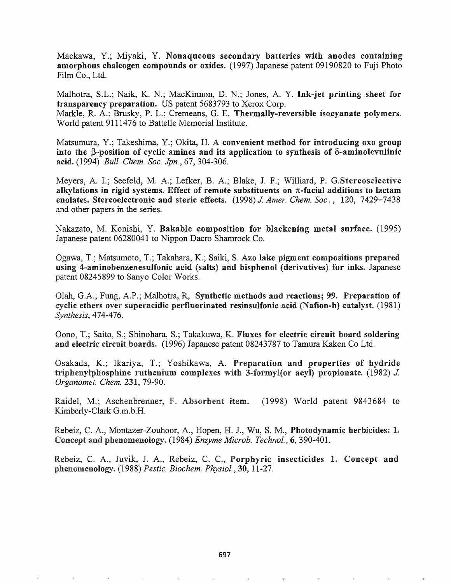Maekawa, Y.; Miyaki, Y. Nonaqueous secondary batteries with anodes containing amorphous chalcogen compounds or oxides. (1997) Japanese patent 09190820 to Fuji Photo Film Co., Ltd.

Malhotra, S.L.; Naik, K. N.; MacKinnon, D. N.; Jones, A. Y. Ink-jet printing sheet for transparency preparation. US patent 5683793 to Xerox Corp. Markle, R. A.; Brusky, P. L.; Cremeans, G. E. Thermally-reversible isocyanate polymers. World patent 9111476 to Battelle Memorial Institute.

Matsumura, Y.; Takeshima, Y.; Okita, H. A convenient method for introducing oxo group into the  $\beta$ -position of cyclic amines and its application to synthesis of  $\delta$ -aminolevulinic acid. (1994) *Bull. Chern. Soc. Jpn.,* 67, 304-306.

Meyers, A. I.; Seefeld, M. A.; Lefker, B. A.; Blake, J. F.; Williard, P. G.Stereoselective alkylations in rigid systems. Effect of remote substituents on  $\pi$ -facial additions to lactam enolates. Stereoelectronic and steric effects. (1998) J. Amer. Chem. Soc., 120, 7429-7438 and other papers in the series.

Nakazato, M. Konishi, Y. Bakable composition for blackening metal surface. (1995) Japanese patent 06280041 to Nippon Dacro Shamrock Co.

Ogawa, T.; Matsumoto, T.; Takahara, K.; Saiki, S. Azo lake pigment compositions prepared using 4-aminobenzenesulfonic acid (salts) and bisphenol (derivatives) for inks. Japanese patent 08245899 to Sanyo Color Works.

Olah, G.A.; Fung, A.P.; Malhotra, R. Synthetic methods and reactions; 99. Preparation of cyclic ethers over superacidic perfluorinated resinsulfonic acid (Nafion-h) catalyst.  $(1981)$ *Synthesis,* 474-476.

Oono, T.; Saito, S.; Shinohara, S.; Takakuwa, K. Fluxes for electric circuit board soldering and electric circuit boards. (1996) Japanese patent 08243787 to Tamura Kaken Co Ltd.

Osakada, K.; Ikariya, T.; Yoshikawa, A. Preparation and properties of hydride triphenylphosphine ruthenium complexes with 3-formyl(or acyl) propionate. (1982)  $J$ . *Organomet. Chern.* 231,79-90.

Raidel, M.; Aschenbrenner, F. Absorbent item. (1998) World patent 9843684 to Kimberly-Clark G.m.b.H.

Rebeiz, C. A., Montazer-Zouhoor, A., Hopen, H. J., Wu, S. M., Photodynamic herbicides: 1. Concept and phenomenology. (1984) *Enzyme Microb. Technol.*, 6, 390-401.

Juvik, J. A., Rebeiz, C. C., Porphyric insecticides 1. Concept and phenomenology. (1988) *Pestic. Biochem. Physiol.*, 30, 11-27.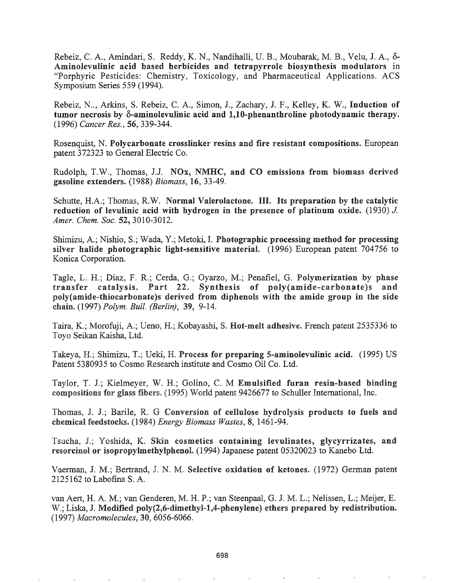Rebeiz, C. A., Amindari, S. Reddy, K. N., Nandihalli, U. B., Moubarak, M. B., Velu, J. A., 8- Aminolevulinic acid based herbicides and tetrapyrrole biosynthesis modulators in "Porphyric Pesticides: Chemistry, Toxicology, and Pharmaceutical Applications. ACS Symposium Series 559 (1994).

Rebeiz, N.., Arkins, S. Rebeiz, C. A., Simon, J., Zachary, J. F., Kelley, K. W., Induction of tumor necrosis by  $\delta$ -aminolevulinic acid and 1,10-phenanthroline photodynamic therapy. *(1996) Cancer Res.,* 56, 339-344.

Rosenquist, N. Polycarbonate crosslinker resins and fire resistant compositions. European patent 372323 to General Electric Co.

Rudolph, T.W., Thomas, J.J. NOx, NMHC, and CO emissions from biomass derived gasoline extenders. (1988) *Biomass,* 16, 33-49.

Schutte, H.A.; Thomas, R.W. Normal Valerolactone. III. Its preparation by the catalytic reduction of levulinic acid with hydrogen in the presence of platinum oxide.  $(1930)$  J. *Amer. Chern. Soc.* 52, 3010-3012.

Shimizu, A.; Nishio, S.; Wada, Y.; Metoki, I. Photographic processing method for processing silver halide photographic light-sensitive material.  $(1996)$  European patent 704756 to Konica Corporation.

Tagle, L. H.; Diaz, F. R.; Cerda, G.; Oyarzo, M.; Penafiel, G. Polymerization by phase transfer catalysis. Part 22. Synthesis of poly(amide-carbonate)s and poly(amide-thiocarbonate)s derived from diphenols with the amide group in the side chaine (1997) *Polym. Bull. (Berlin),* 39, 9-14.

Taira, K.; Morofuji, A.; Ueno, H.; Kobayashi, S. **Hot-melt adhesive.** French patent 2535336 to Toyo Seikan Kaisha, Ltd.

Takeya, H.; Shimizu, T.; Ueki, H. Process for preparing 5-aminolevulinic acid. (1995) US Patent 5380935 to Cosmo Research institute and Cosmo Oil Co. Ltd.

Taylor, T. J.; Kielmeyer, W. H.; Golino, C. M Emulsified furan resin-based binding compositions for glass fibers. (1995) World patent 9426677 to Schuller International, Inc.

Thomas, J. J.; Barile, R. G Conversion of cellulose hydrolysis products to fuels and chemical feedstocks~ (1984) *Energy Biomass Wastes,* 8, 1461-94.

Tsucha, J.; Yoshida, K. Skin cosmetics containing levulinates, glycyrrizates, and resorcinol or isopropylmethylphenol. (1994) Japanese patent 05320023 to Kanebo Ltd.

Vaerman, J. M.; Bertrand, J. N. M. Selective oxidation of ketones. (1972) German patent 2125162 to Labofina S. A.

van Aert, H. A. M.; van Genderen, M. H. P.; van Steenpaal, G. J. M. L.; Nelissen, L.; Meijer, E. W.; Liska, J. Modified poly(2,6-dimethyl-1,4-phenylene) ethers prepared by redistribution. (1997) *Macromolecules,* 30, 6056-6066.